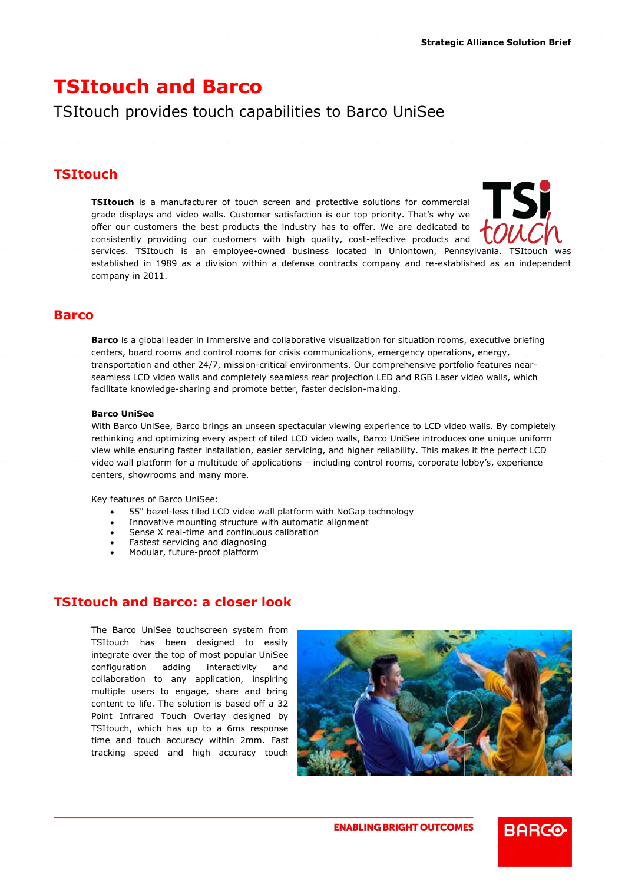# **TSItouch and Barco**

# TSItouch provides touch capabilities to Barco UniSee

## **TSItouch**

**TSItouch** is a manufacturer of touch screen and protective solutions for commercial grade displays and video walls. Customer satisfaction is our top priority. That's why we offer our customers the best products the industry has to offer. We are dedicated to consistently providing our customers with high quality, cost-effective products and services. TSItouch is an employee-owned business located in Uniontown, Pennsylvania. TSItouch was



established in 1989 as a division within a defense contracts company and re-established as an independent company in 2011.

## **Barco**

**Barco** is a global leader in immersive and collaborative visualization for situation rooms, executive briefing centers, board rooms and control rooms for crisis communications, emergency operations, energy, transportation and other 24/7, mission-critical environments. Our comprehensive portfolio features nearseamless LCD video walls and completely seamless rear projection LED and RGB Laser video walls, which facilitate knowledge-sharing and promote better, faster decision-making.

#### **Barco UniSee**

With Barco UniSee, Barco brings an unseen spectacular viewing experience to LCD video walls. By completely rethinking and optimizing every aspect of tiled LCD video walls, Barco UniSee introduces one unique uniform view while ensuring faster installation, easier servicing, and higher reliability. This makes it the perfect LCD video wall platform for a multitude of applications – including control rooms, corporate lobby's, experience centers, showrooms and many more.

Key features of Barco UniSee:

- 55" bezel-less tiled LCD video wall platform with NoGap technology
- Innovative mounting structure with automatic alignment
- Sense X real-time and continuous calibration
- Fastest servicing and diagnosing
- Modular, future-proof platform

#### **TSItouch and Barco: a closer look**

The Barco UniSee touchscreen system from TSItouch has been designed to easily integrate over the top of most popular UniSee configuration adding interactivity and collaboration to any application, inspiring multiple users to engage, share and bring content to life. The solution is based off a 32 Point Infrared Touch Overlay designed by TSItouch, which has up to a 6ms response time and touch accuracy within 2mm. Fast tracking speed and high accuracy touch



**BARGO** 

**ENABLING BRIGHT OUTCOMES**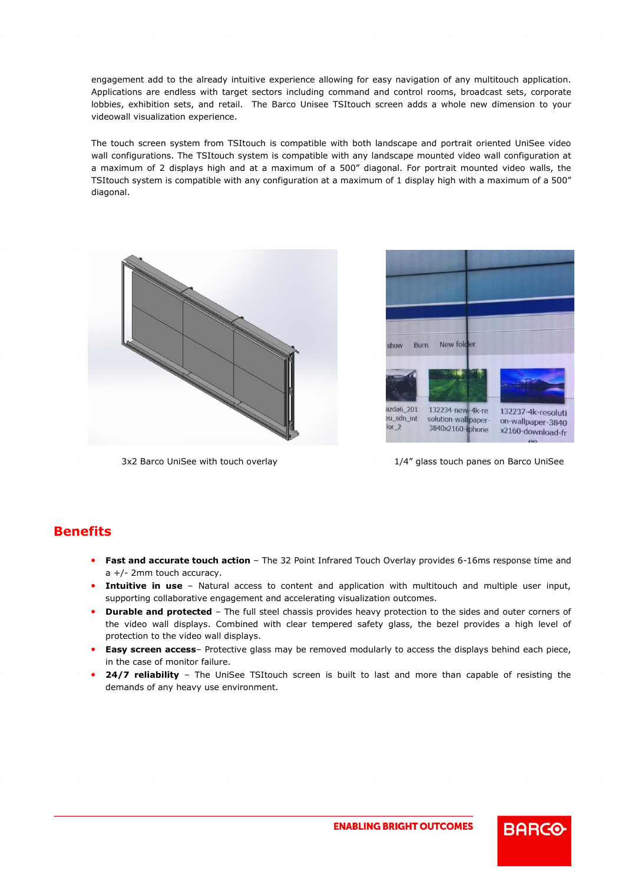engagement add to the already intuitive experience allowing for easy navigation of any multitouch application. Applications are endless with target sectors including command and control rooms, broadcast sets, corporate lobbies, exhibition sets, and retail. The Barco Unisee TSItouch screen adds a whole new dimension to your videowall visualization experience.

The touch screen system from TSItouch is compatible with both landscape and portrait oriented UniSee video wall configurations. The TSItouch system is compatible with any landscape mounted video wall configuration at a maximum of 2 displays high and at a maximum of a 500" diagonal. For portrait mounted video walls, the TSItouch system is compatible with any configuration at a maximum of 1 display high with a maximum of a 500" diagonal.





3x2 Barco UniSee with touch overlay 1/4" glass touch panes on Barco UniSee

**BARGO** 

# **Benefits**

- **Fast and accurate touch action** The 32 Point Infrared Touch Overlay provides 6-16ms response time and a +/- 2mm touch accuracy.
- **Intuitive in use**  Natural access to content and application with multitouch and multiple user input, supporting collaborative engagement and accelerating visualization outcomes.
- **Durable and protected**  The full steel chassis provides heavy protection to the sides and outer corners of the video wall displays. Combined with clear tempered safety glass, the bezel provides a high level of protection to the video wall displays.
- **Easy screen access** Protective glass may be removed modularly to access the displays behind each piece, in the case of monitor failure.
- **24/7 reliability**  The UniSee TSItouch screen is built to last and more than capable of resisting the demands of any heavy use environment.